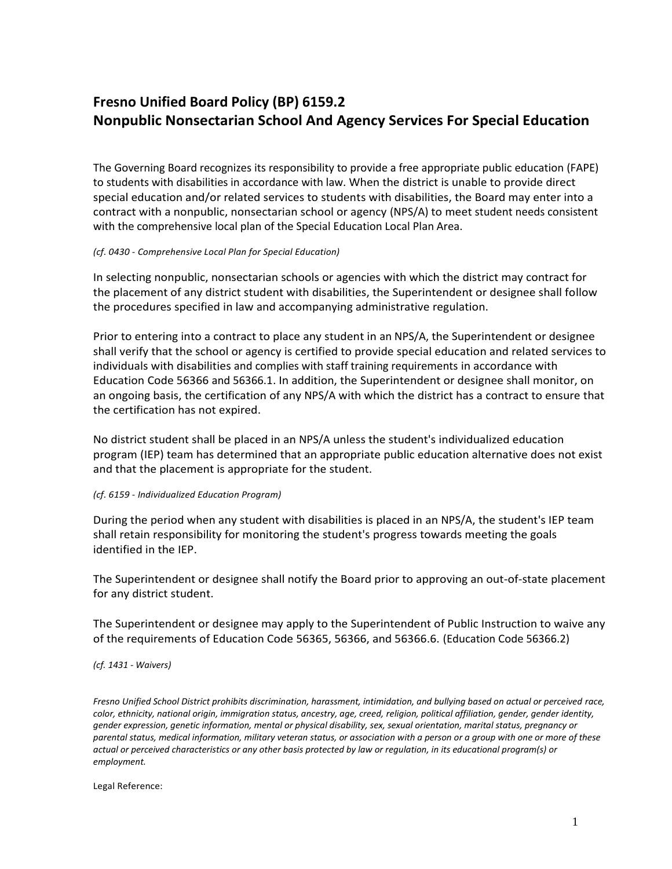## **Fresno Unified Board Policy (BP) 6159.2 Nonpublic Nonsectarian School And Agency Services For Special Education**

The Governing Board recognizes its responsibility to provide a free appropriate public education (FAPE) to students with disabilities in accordance with law. When the district is unable to provide direct special education and/or related services to students with disabilities, the Board may enter into a contract with a nonpublic, nonsectarian school or agency (NPS/A) to meet student needs consistent with the comprehensive local plan of the Special Education Local Plan Area.

## *(cf. 0430 - Comprehensive Local Plan for Special Education)*

In selecting nonpublic, nonsectarian schools or agencies with which the district may contract for the placement of any district student with disabilities, the Superintendent or designee shall follow the procedures specified in law and accompanying administrative regulation.

Prior to entering into a contract to place any student in an NPS/A, the Superintendent or designee shall verify that the school or agency is certified to provide special education and related services to individuals with disabilities and complies with staff training requirements in accordance with Education Code 56366 and 56366.1. In addition, the Superintendent or designee shall monitor, on an ongoing basis, the certification of any NPS/A with which the district has a contract to ensure that the certification has not expired.

No district student shall be placed in an NPS/A unless the student's individualized education program (IEP) team has determined that an appropriate public education alternative does not exist and that the placement is appropriate for the student.

## *(cf. 6159 - Individualized Education Program)*

During the period when any student with disabilities is placed in an NPS/A, the student's IEP team shall retain responsibility for monitoring the student's progress towards meeting the goals identified in the IEP.

The Superintendent or designee shall notify the Board prior to approving an out-of-state placement for any district student.

The Superintendent or designee may apply to the Superintendent of Public Instruction to waive any of the requirements of Education Code 56365, 56366, and 56366.6. (Education Code 56366.2)

## *(cf. 1431 - Waivers)*

*Fresno Unified School District prohibits discrimination, harassment, intimidation, and bullying based on actual or perceived race, color, ethnicity, national origin, immigration status, ancestry, age, creed, religion, political affiliation, gender, gender identity, gender expression, genetic information, mental or physical disability, sex, sexual orientation, marital status, pregnancy or parental status, medical information, military veteran status, or association with a person or a group with one or more of these actual or perceived characteristics or any other basis protected by law or regulation, in its educational program(s) or employment.*

Legal Reference: